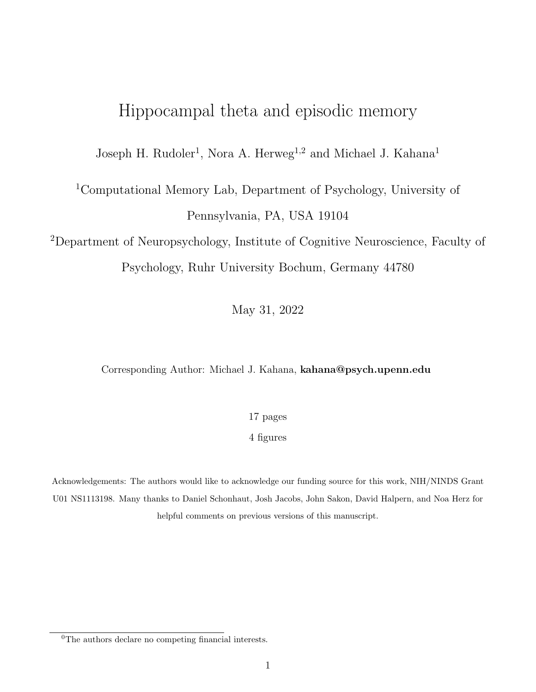# Hippocampal theta and episodic memory

Joseph H. Rudoler<sup>1</sup>, Nora A. Herweg<sup>1,2</sup> and Michael J. Kahana<sup>1</sup>

# <sup>1</sup>Computational Memory Lab, Department of Psychology, University of Pennsylvania, PA, USA 19104

<sup>2</sup>Department of Neuropsychology, Institute of Cognitive Neuroscience, Faculty of Psychology, Ruhr University Bochum, Germany 44780

May 31, 2022

#### Corresponding Author: Michael J. Kahana, kahana@psych.upenn.edu

17 pages

4 figures

Acknowledgements: The authors would like to acknowledge our funding source for this work, NIH/NINDS Grant U01 NS1113198. Many thanks to Daniel Schonhaut, Josh Jacobs, John Sakon, David Halpern, and Noa Herz for helpful comments on previous versions of this manuscript.

<sup>&</sup>lt;sup>0</sup>The authors declare no competing financial interests.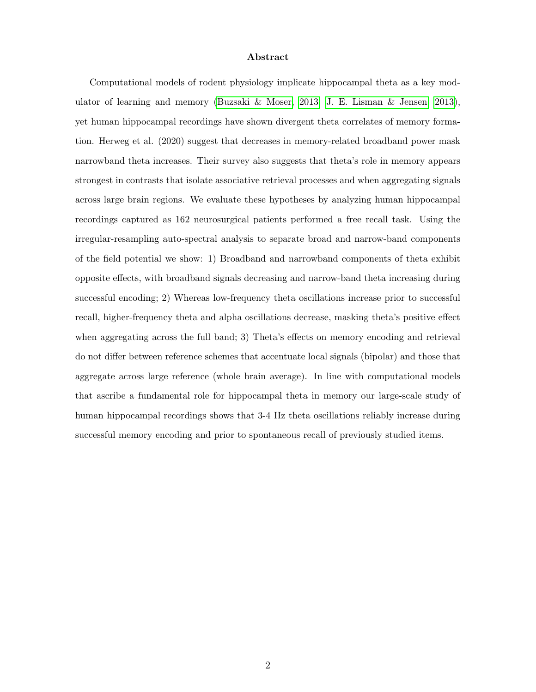#### Abstract

Computational models of rodent physiology implicate hippocampal theta as a key modulator of learning and memory [\(Buzsaki & Moser, 2013;](#page-18-0) [J. E. Lisman & Jensen, 2013\)](#page-20-0), yet human hippocampal recordings have shown divergent theta correlates of memory formation. Herweg et al. (2020) suggest that decreases in memory-related broadband power mask narrowband theta increases. Their survey also suggests that theta's role in memory appears strongest in contrasts that isolate associative retrieval processes and when aggregating signals across large brain regions. We evaluate these hypotheses by analyzing human hippocampal recordings captured as 162 neurosurgical patients performed a free recall task. Using the irregular-resampling auto-spectral analysis to separate broad and narrow-band components of the field potential we show: 1) Broadband and narrowband components of theta exhibit opposite effects, with broadband signals decreasing and narrow-band theta increasing during successful encoding; 2) Whereas low-frequency theta oscillations increase prior to successful recall, higher-frequency theta and alpha oscillations decrease, masking theta's positive effect when aggregating across the full band; 3) Theta's effects on memory encoding and retrieval do not differ between reference schemes that accentuate local signals (bipolar) and those that aggregate across large reference (whole brain average). In line with computational models that ascribe a fundamental role for hippocampal theta in memory our large-scale study of human hippocampal recordings shows that 3-4 Hz theta oscillations reliably increase during successful memory encoding and prior to spontaneous recall of previously studied items.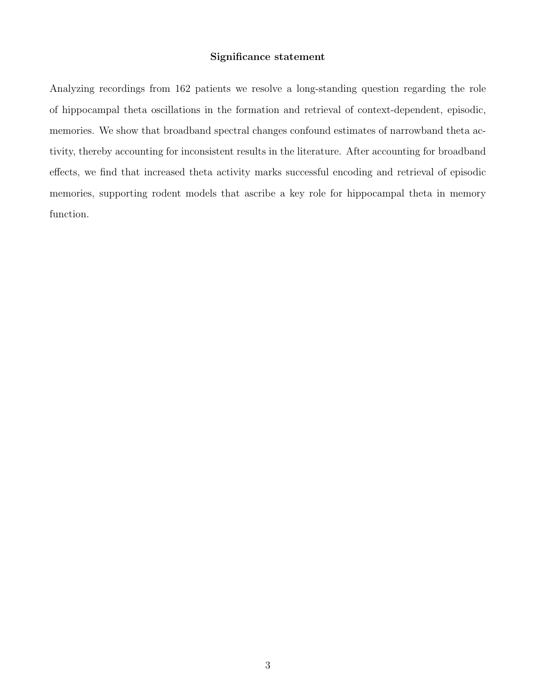#### Significance statement

Analyzing recordings from 162 patients we resolve a long-standing question regarding the role of hippocampal theta oscillations in the formation and retrieval of context-dependent, episodic, memories. We show that broadband spectral changes confound estimates of narrowband theta activity, thereby accounting for inconsistent results in the literature. After accounting for broadband effects, we find that increased theta activity marks successful encoding and retrieval of episodic memories, supporting rodent models that ascribe a key role for hippocampal theta in memory function.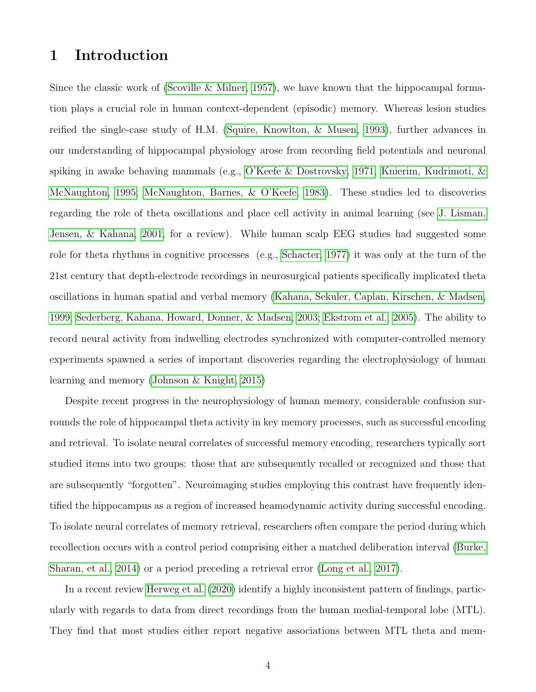# 1 Introduction

Since the classic work of [\(Scoville & Milner, 1957\)](#page-20-1), we have known that the hippocampal formation plays a crucial role in human context-dependent (episodic) memory. Whereas lesion studies reified the single-case study of H.M. [\(Squire, Knowlton, & Musen, 1993\)](#page-21-0), further advances in our understanding of hippocampal physiology arose from recording field potentials and neuronal spiking in awake behaving mammals (e.g., [O'Keefe & Dostrovsky, 1971;](#page-20-2) [Knierim, Kudrimoti, &](#page-19-0) [McNaughton, 1995;](#page-19-0) [McNaughton, Barnes, & O'Keefe, 1983\)](#page-20-3). These studies led to discoveries regarding the role of theta oscillations and place cell activity in animal learning (see [J. Lisman,](#page-19-1) [Jensen, & Kahana, 2001,](#page-19-1) for a review). While human scalp EEG studies had suggested some role for theta rhythms in cognitive processes (e.g., [Schacter, 1977\)](#page-20-4) it was only at the turn of the 21st century that depth-electrode recordings in neurosurgical patients specifically implicated theta oscillations in human spatial and verbal memory [\(Kahana, Sekuler, Caplan, Kirschen, & Madsen,](#page-19-2) [1999;](#page-19-2) [Sederberg, Kahana, Howard, Donner, & Madsen, 2003;](#page-20-5) [Ekstrom et al., 2005\)](#page-18-1). The ability to record neural activity from indwelling electrodes synchronized with computer-controlled memory experiments spawned a series of important discoveries regarding the electrophysiology of human learning and memory [\(Johnson & Knight, 2015\)](#page-19-3)

Despite recent progress in the neurophysiology of human memory, considerable confusion surrounds the role of hippocampal theta activity in key memory processes, such as successful encoding and retrieval. To isolate neural correlates of successful memory encoding, researchers typically sort studied items into two groups: those that are subsequently recalled or recognized and those that are subsequently "forgotten". Neuroimaging studies employing this contrast have frequently identified the hippocampus as a region of increased heamodynamic activity during successful encoding. To isolate neural correlates of memory retrieval, researchers often compare the period during which recollection occurs with a control period comprising either a matched deliberation interval [\(Burke,](#page-18-2) [Sharan, et al., 2014\)](#page-18-2) or a period preceding a retrieval error [\(Long et al., 2017\)](#page-20-6).

In a recent review [Herweg et al.](#page-19-4) [\(2020\)](#page-19-4) identify a highly inconsistent pattern of findings, particularly with regards to data from direct recordings from the human medial-temporal lobe (MTL). They find that most studies either report negative associations between MTL theta and mem-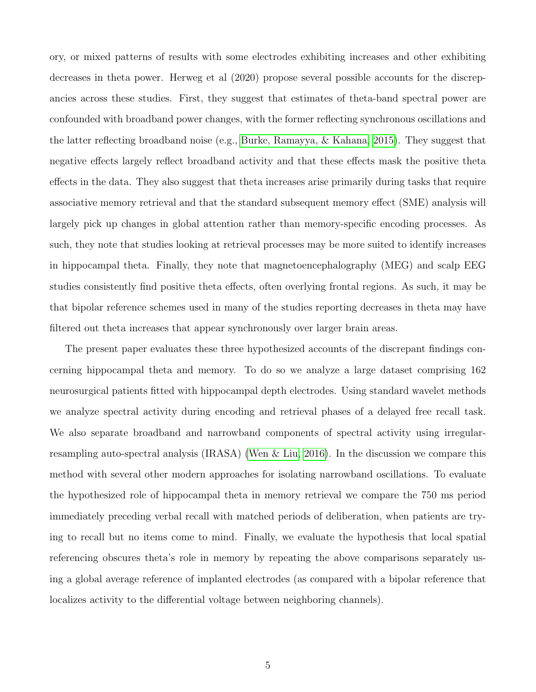ory, or mixed patterns of results with some electrodes exhibiting increases and other exhibiting decreases in theta power. Herweg et al (2020) propose several possible accounts for the discrepancies across these studies. First, they suggest that estimates of theta-band spectral power are confounded with broadband power changes, with the former reflecting synchronous oscillations and the latter reflecting broadband noise (e.g., [Burke, Ramayya, & Kahana, 2015\)](#page-18-3). They suggest that negative effects largely reflect broadband activity and that these effects mask the positive theta effects in the data. They also suggest that theta increases arise primarily during tasks that require associative memory retrieval and that the standard subsequent memory effect (SME) analysis will largely pick up changes in global attention rather than memory-specific encoding processes. As such, they note that studies looking at retrieval processes may be more suited to identify increases in hippocampal theta. Finally, they note that magnetoencephalography (MEG) and scalp EEG studies consistently find positive theta effects, often overlying frontal regions. As such, it may be that bipolar reference schemes used in many of the studies reporting decreases in theta may have filtered out theta increases that appear synchronously over larger brain areas.

The present paper evaluates these three hypothesized accounts of the discrepant findings concerning hippocampal theta and memory. To do so we analyze a large dataset comprising 162 neurosurgical patients fitted with hippocampal depth electrodes. Using standard wavelet methods we analyze spectral activity during encoding and retrieval phases of a delayed free recall task. We also separate broadband and narrowband components of spectral activity using irregularresampling auto-spectral analysis (IRASA) [\(Wen & Liu, 2016\)](#page-21-1). In the discussion we compare this method with several other modern approaches for isolating narrowband oscillations. To evaluate the hypothesized role of hippocampal theta in memory retrieval we compare the 750 ms period immediately preceding verbal recall with matched periods of deliberation, when patients are trying to recall but no items come to mind. Finally, we evaluate the hypothesis that local spatial referencing obscures theta's role in memory by repeating the above comparisons separately using a global average reference of implanted electrodes (as compared with a bipolar reference that localizes activity to the differential voltage between neighboring channels).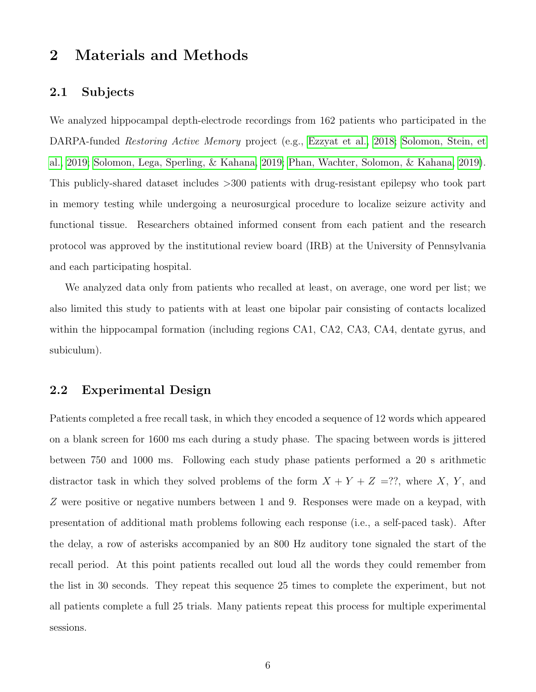# 2 Materials and Methods

### 2.1 Subjects

We analyzed hippocampal depth-electrode recordings from 162 patients who participated in the DARPA-funded Restoring Active Memory project (e.g., [Ezzyat et al., 2018;](#page-18-4) [Solomon, Stein, et](#page-21-2) [al., 2019;](#page-21-2) [Solomon, Lega, Sperling, & Kahana, 2019;](#page-20-7) [Phan, Wachter, Solomon, & Kahana, 2019\)](#page-20-8). This publicly-shared dataset includes >300 patients with drug-resistant epilepsy who took part in memory testing while undergoing a neurosurgical procedure to localize seizure activity and functional tissue. Researchers obtained informed consent from each patient and the research protocol was approved by the institutional review board (IRB) at the University of Pennsylvania and each participating hospital.

We analyzed data only from patients who recalled at least, on average, one word per list; we also limited this study to patients with at least one bipolar pair consisting of contacts localized within the hippocampal formation (including regions CA1, CA2, CA3, CA4, dentate gyrus, and subiculum).

### 2.2 Experimental Design

Patients completed a free recall task, in which they encoded a sequence of 12 words which appeared on a blank screen for 1600 ms each during a study phase. The spacing between words is jittered between 750 and 1000 ms. Following each study phase patients performed a 20 s arithmetic distractor task in which they solved problems of the form  $X + Y + Z =$ ??, where X, Y, and Z were positive or negative numbers between 1 and 9. Responses were made on a keypad, with presentation of additional math problems following each response (i.e., a self-paced task). After the delay, a row of asterisks accompanied by an 800 Hz auditory tone signaled the start of the recall period. At this point patients recalled out loud all the words they could remember from the list in 30 seconds. They repeat this sequence 25 times to complete the experiment, but not all patients complete a full 25 trials. Many patients repeat this process for multiple experimental sessions.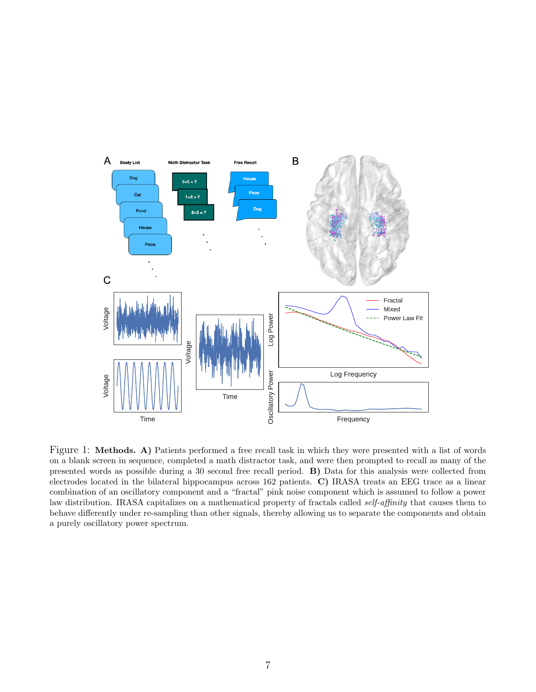

<span id="page-6-0"></span>Figure 1: Methods. A) Patients performed a free recall task in which they were presented with a list of words on a blank screen in sequence, completed a math distractor task, and were then prompted to recall as many of the presented words as possible during a 30 second free recall period. B) Data for this analysis were collected from electrodes located in the bilateral hippocampus across 162 patients. C) IRASA treats an EEG trace as a linear combination of an oscillatory component and a "fractal" pink noise component which is assumed to follow a power law distribution. IRASA capitalizes on a mathematical property of fractals called self-affinity that causes them to behave differently under re-sampling than other signals, thereby allowing us to separate the components and obtain a purely oscillatory power spectrum.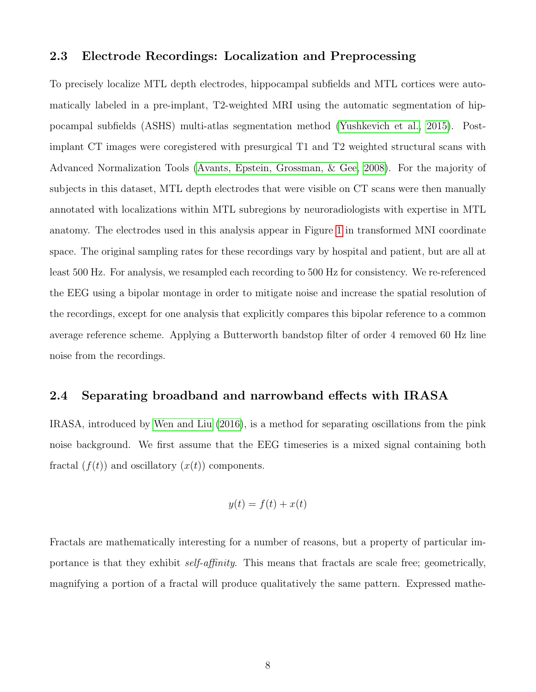### 2.3 Electrode Recordings: Localization and Preprocessing

To precisely localize MTL depth electrodes, hippocampal subfields and MTL cortices were automatically labeled in a pre-implant, T2-weighted MRI using the automatic segmentation of hippocampal subfields (ASHS) multi-atlas segmentation method [\(Yushkevich et al., 2015\)](#page-21-3). Postimplant CT images were coregistered with presurgical T1 and T2 weighted structural scans with Advanced Normalization Tools [\(Avants, Epstein, Grossman, & Gee, 2008\)](#page-18-5). For the majority of subjects in this dataset, MTL depth electrodes that were visible on CT scans were then manually annotated with localizations within MTL subregions by neuroradiologists with expertise in MTL anatomy. The electrodes used in this analysis appear in Figure [1](#page-6-0) in transformed MNI coordinate space. The original sampling rates for these recordings vary by hospital and patient, but are all at least 500 Hz. For analysis, we resampled each recording to 500 Hz for consistency. We re-referenced the EEG using a bipolar montage in order to mitigate noise and increase the spatial resolution of the recordings, except for one analysis that explicitly compares this bipolar reference to a common average reference scheme. Applying a Butterworth bandstop filter of order 4 removed 60 Hz line noise from the recordings.

### 2.4 Separating broadband and narrowband effects with IRASA

IRASA, introduced by [Wen and Liu](#page-21-1) [\(2016\)](#page-21-1), is a method for separating oscillations from the pink noise background. We first assume that the EEG timeseries is a mixed signal containing both fractal  $(f(t))$  and oscillatory  $(x(t))$  components.

$$
y(t) = f(t) + x(t)
$$

Fractals are mathematically interesting for a number of reasons, but a property of particular importance is that they exhibit self-affinity. This means that fractals are scale free; geometrically, magnifying a portion of a fractal will produce qualitatively the same pattern. Expressed mathe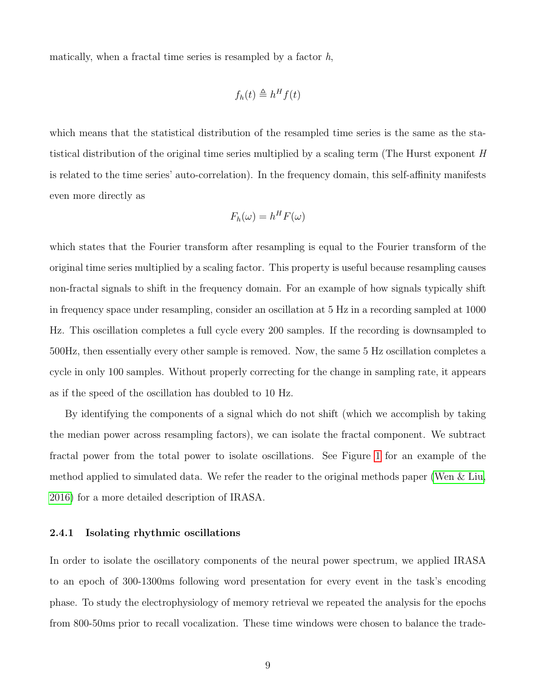matically, when a fractal time series is resampled by a factor  $h$ ,

$$
f_h(t) \triangleq h^H f(t)
$$

which means that the statistical distribution of the resampled time series is the same as the statistical distribution of the original time series multiplied by a scaling term (The Hurst exponent  $H$ is related to the time series' auto-correlation). In the frequency domain, this self-affinity manifests even more directly as

$$
F_h(\omega) = h^H F(\omega)
$$

which states that the Fourier transform after resampling is equal to the Fourier transform of the original time series multiplied by a scaling factor. This property is useful because resampling causes non-fractal signals to shift in the frequency domain. For an example of how signals typically shift in frequency space under resampling, consider an oscillation at 5 Hz in a recording sampled at 1000 Hz. This oscillation completes a full cycle every 200 samples. If the recording is downsampled to 500Hz, then essentially every other sample is removed. Now, the same 5 Hz oscillation completes a cycle in only 100 samples. Without properly correcting for the change in sampling rate, it appears as if the speed of the oscillation has doubled to 10 Hz.

By identifying the components of a signal which do not shift (which we accomplish by taking the median power across resampling factors), we can isolate the fractal component. We subtract fractal power from the total power to isolate oscillations. See Figure [1](#page-6-0) for an example of the method applied to simulated data. We refer the reader to the original methods paper [\(Wen & Liu,](#page-21-1) [2016\)](#page-21-1) for a more detailed description of IRASA.

#### 2.4.1 Isolating rhythmic oscillations

In order to isolate the oscillatory components of the neural power spectrum, we applied IRASA to an epoch of 300-1300ms following word presentation for every event in the task's encoding phase. To study the electrophysiology of memory retrieval we repeated the analysis for the epochs from 800-50ms prior to recall vocalization. These time windows were chosen to balance the trade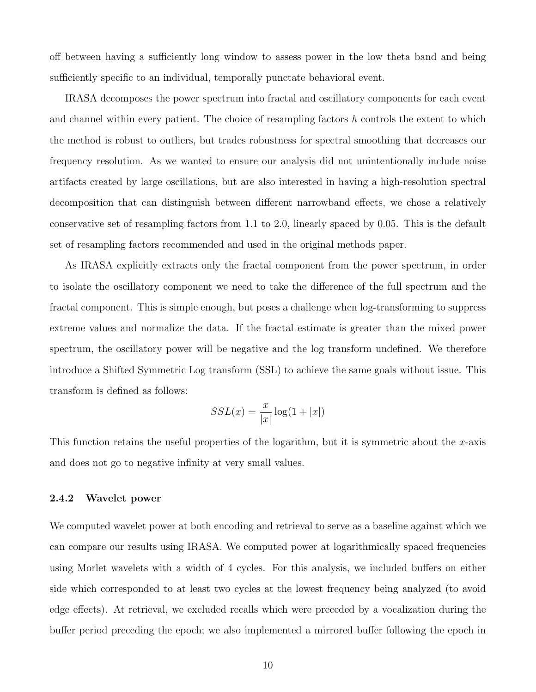off between having a sufficiently long window to assess power in the low theta band and being sufficiently specific to an individual, temporally punctate behavioral event.

IRASA decomposes the power spectrum into fractal and oscillatory components for each event and channel within every patient. The choice of resampling factors  $h$  controls the extent to which the method is robust to outliers, but trades robustness for spectral smoothing that decreases our frequency resolution. As we wanted to ensure our analysis did not unintentionally include noise artifacts created by large oscillations, but are also interested in having a high-resolution spectral decomposition that can distinguish between different narrowband effects, we chose a relatively conservative set of resampling factors from 1.1 to 2.0, linearly spaced by 0.05. This is the default set of resampling factors recommended and used in the original methods paper.

As IRASA explicitly extracts only the fractal component from the power spectrum, in order to isolate the oscillatory component we need to take the difference of the full spectrum and the fractal component. This is simple enough, but poses a challenge when log-transforming to suppress extreme values and normalize the data. If the fractal estimate is greater than the mixed power spectrum, the oscillatory power will be negative and the log transform undefined. We therefore introduce a Shifted Symmetric Log transform (SSL) to achieve the same goals without issue. This transform is defined as follows:

$$
SSL(x) = \frac{x}{|x|} \log(1 + |x|)
$$

This function retains the useful properties of the logarithm, but it is symmetric about the x-axis and does not go to negative infinity at very small values.

#### 2.4.2 Wavelet power

We computed wavelet power at both encoding and retrieval to serve as a baseline against which we can compare our results using IRASA. We computed power at logarithmically spaced frequencies using Morlet wavelets with a width of 4 cycles. For this analysis, we included buffers on either side which corresponded to at least two cycles at the lowest frequency being analyzed (to avoid edge effects). At retrieval, we excluded recalls which were preceded by a vocalization during the buffer period preceding the epoch; we also implemented a mirrored buffer following the epoch in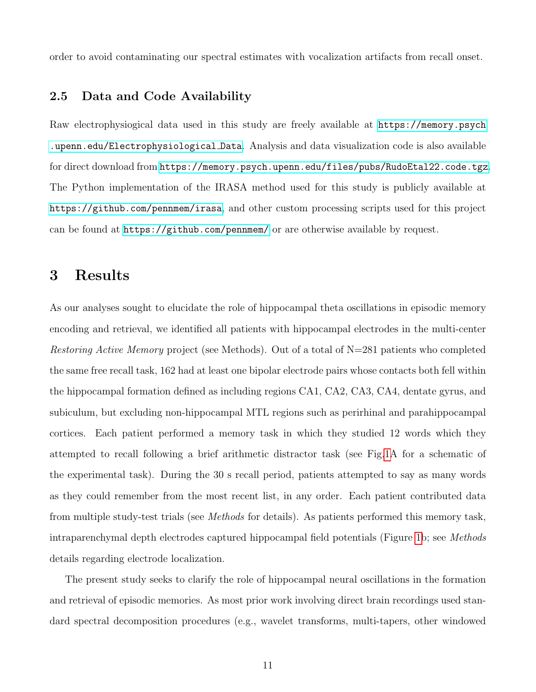order to avoid contaminating our spectral estimates with vocalization artifacts from recall onset.

### 2.5 Data and Code Availability

Raw electrophysiogical data used in this study are freely available at [https://memory.psych](https://memory.psych.upenn.edu/Electrophysiological_Data) [.upenn.edu/Electrophysiological](https://memory.psych.upenn.edu/Electrophysiological_Data) Data. Analysis and data visualization code is also available for direct download from <https://memory.psych.upenn.edu/files/pubs/RudoEtal22.code.tgz>. The Python implementation of the IRASA method used for this study is publicly available at <https://github.com/pennmem/irasa>, and other custom processing scripts used for this project can be found at <https://github.com/pennmem/> or are otherwise available by request.

## <span id="page-10-0"></span>3 Results

As our analyses sought to elucidate the role of hippocampal theta oscillations in episodic memory encoding and retrieval, we identified all patients with hippocampal electrodes in the multi-center Restoring Active Memory project (see Methods). Out of a total of N=281 patients who completed the same free recall task, 162 had at least one bipolar electrode pairs whose contacts both fell within the hippocampal formation defined as including regions CA1, CA2, CA3, CA4, dentate gyrus, and subiculum, but excluding non-hippocampal MTL regions such as perirhinal and parahippocampal cortices. Each patient performed a memory task in which they studied 12 words which they attempted to recall following a brief arithmetic distractor task (see Fig[.1A](#page-6-0) for a schematic of the experimental task). During the 30 s recall period, patients attempted to say as many words as they could remember from the most recent list, in any order. Each patient contributed data from multiple study-test trials (see Methods for details). As patients performed this memory task, intraparenchymal depth electrodes captured hippocampal field potentials (Figure [1b](#page-6-0); see Methods details regarding electrode localization.

The present study seeks to clarify the role of hippocampal neural oscillations in the formation and retrieval of episodic memories. As most prior work involving direct brain recordings used standard spectral decomposition procedures (e.g., wavelet transforms, multi-tapers, other windowed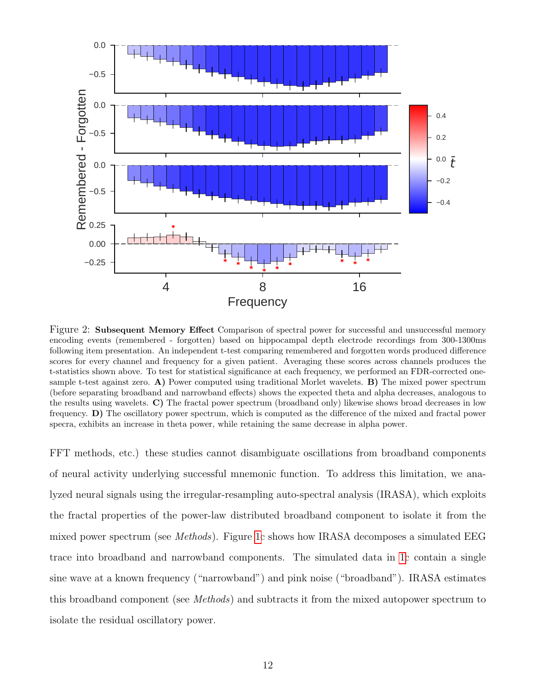

Figure 2: Subsequent Memory Effect Comparison of spectral power for successful and unsuccessful memory encoding events (remembered - forgotten) based on hippocampal depth electrode recordings from 300-1300ms following item presentation. An independent t-test comparing remembered and forgotten words produced difference scores for every channel and frequency for a given patient. Averaging these scores across channels produces the t-statistics shown above. To test for statistical significance at each frequency, we performed an FDR-corrected onesample t-test against zero. A) Power computed using traditional Morlet wavelets. B) The mixed power spectrum (before separating broadband and narrowband effects) shows the expected theta and alpha decreases, analogous to the results using wavelets. C) The fractal power spectrum (broadband only) likewise shows broad decreases in low frequency. D) The oscillatory power spectrum, which is computed as the difference of the mixed and fractal power specra, exhibits an increase in theta power, while retaining the same decrease in alpha power.

FFT methods, etc.) these studies cannot disambiguate oscillations from broadband components of neural activity underlying successful mnemonic function. To address this limitation, we analyzed neural signals using the irregular-resampling auto-spectral analysis (IRASA), which exploits the fractal properties of the power-law distributed broadband component to isolate it from the mixed power spectrum (see *Methods*). Figure [1c](#page-6-0) shows how IRASA decomposes a simulated EEG trace into broadband and narrowband components. The simulated data in [1c](#page-6-0) contain a single sine wave at a known frequency ("narrowband") and pink noise ("broadband"). IRASA estimates this broadband component (see Methods) and subtracts it from the mixed autopower spectrum to isolate the residual oscillatory power.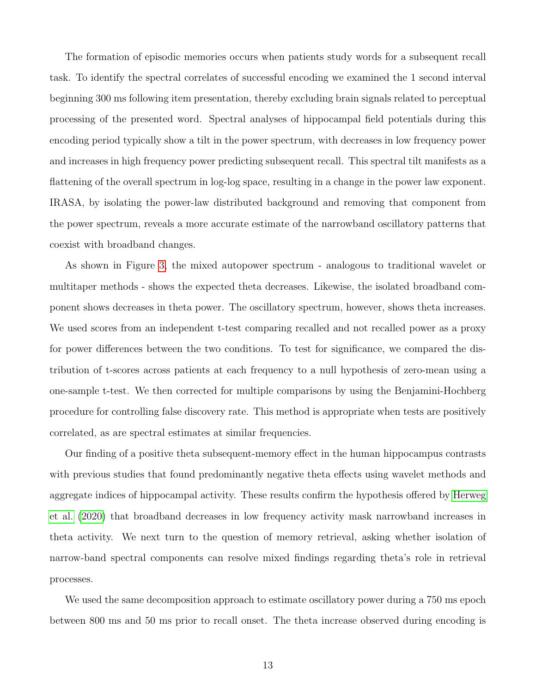The formation of episodic memories occurs when patients study words for a subsequent recall task. To identify the spectral correlates of successful encoding we examined the 1 second interval beginning 300 ms following item presentation, thereby excluding brain signals related to perceptual processing of the presented word. Spectral analyses of hippocampal field potentials during this encoding period typically show a tilt in the power spectrum, with decreases in low frequency power and increases in high frequency power predicting subsequent recall. This spectral tilt manifests as a flattening of the overall spectrum in log-log space, resulting in a change in the power law exponent. IRASA, by isolating the power-law distributed background and removing that component from the power spectrum, reveals a more accurate estimate of the narrowband oscillatory patterns that coexist with broadband changes.

As shown in Figure [3,](#page-10-0) the mixed autopower spectrum - analogous to traditional wavelet or multitaper methods - shows the expected theta decreases. Likewise, the isolated broadband component shows decreases in theta power. The oscillatory spectrum, however, shows theta increases. We used scores from an independent t-test comparing recalled and not recalled power as a proxy for power differences between the two conditions. To test for significance, we compared the distribution of t-scores across patients at each frequency to a null hypothesis of zero-mean using a one-sample t-test. We then corrected for multiple comparisons by using the Benjamini-Hochberg procedure for controlling false discovery rate. This method is appropriate when tests are positively correlated, as are spectral estimates at similar frequencies.

Our finding of a positive theta subsequent-memory effect in the human hippocampus contrasts with previous studies that found predominantly negative theta effects using wavelet methods and aggregate indices of hippocampal activity. These results confirm the hypothesis offered by [Herweg](#page-19-4) [et al.](#page-19-4) [\(2020\)](#page-19-4) that broadband decreases in low frequency activity mask narrowband increases in theta activity. We next turn to the question of memory retrieval, asking whether isolation of narrow-band spectral components can resolve mixed findings regarding theta's role in retrieval processes.

We used the same decomposition approach to estimate oscillatory power during a 750 ms epoch between 800 ms and 50 ms prior to recall onset. The theta increase observed during encoding is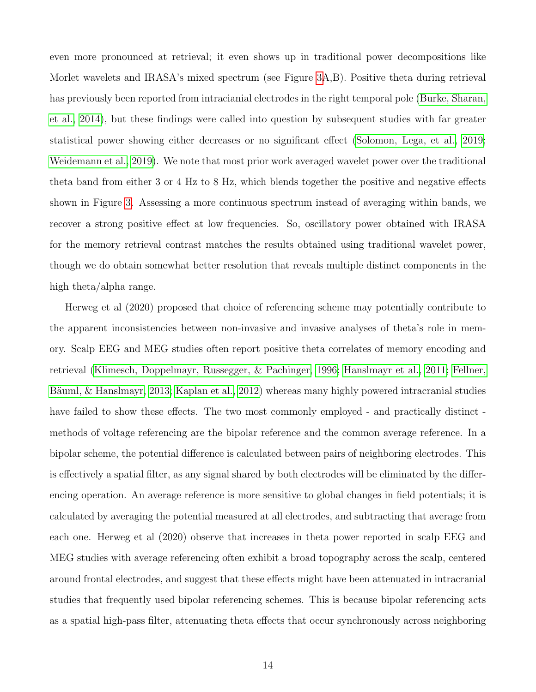even more pronounced at retrieval; it even shows up in traditional power decompositions like Morlet wavelets and IRASA's mixed spectrum (see Figure [3A](#page-14-0),B). Positive theta during retrieval has previously been reported from intracianial electrodes in the right temporal pole [\(Burke, Sharan,](#page-18-2) [et al., 2014\)](#page-18-2), but these findings were called into question by subsequent studies with far greater statistical power showing either decreases or no significant effect [\(Solomon, Lega, et al., 2019;](#page-20-7) [Weidemann et al., 2019\)](#page-21-4). We note that most prior work averaged wavelet power over the traditional theta band from either 3 or 4 Hz to 8 Hz, which blends together the positive and negative effects shown in Figure [3.](#page-14-0) Assessing a more continuous spectrum instead of averaging within bands, we recover a strong positive effect at low frequencies. So, oscillatory power obtained with IRASA for the memory retrieval contrast matches the results obtained using traditional wavelet power, though we do obtain somewhat better resolution that reveals multiple distinct components in the high theta/alpha range.

Herweg et al (2020) proposed that choice of referencing scheme may potentially contribute to the apparent inconsistencies between non-invasive and invasive analyses of theta's role in memory. Scalp EEG and MEG studies often report positive theta correlates of memory encoding and retrieval [\(Klimesch, Doppelmayr, Russegger, & Pachinger, 1996;](#page-19-5) [Hanslmayr et al., 2011;](#page-19-6) [Fellner,](#page-19-7) Bäuml, & Hanslmayr, 2013; [Kaplan et al., 2012\)](#page-19-8) whereas many highly powered intracranial studies have failed to show these effects. The two most commonly employed - and practically distinct methods of voltage referencing are the bipolar reference and the common average reference. In a bipolar scheme, the potential difference is calculated between pairs of neighboring electrodes. This is effectively a spatial filter, as any signal shared by both electrodes will be eliminated by the differencing operation. An average reference is more sensitive to global changes in field potentials; it is calculated by averaging the potential measured at all electrodes, and subtracting that average from each one. Herweg et al (2020) observe that increases in theta power reported in scalp EEG and MEG studies with average referencing often exhibit a broad topography across the scalp, centered around frontal electrodes, and suggest that these effects might have been attenuated in intracranial studies that frequently used bipolar referencing schemes. This is because bipolar referencing acts as a spatial high-pass filter, attenuating theta effects that occur synchronously across neighboring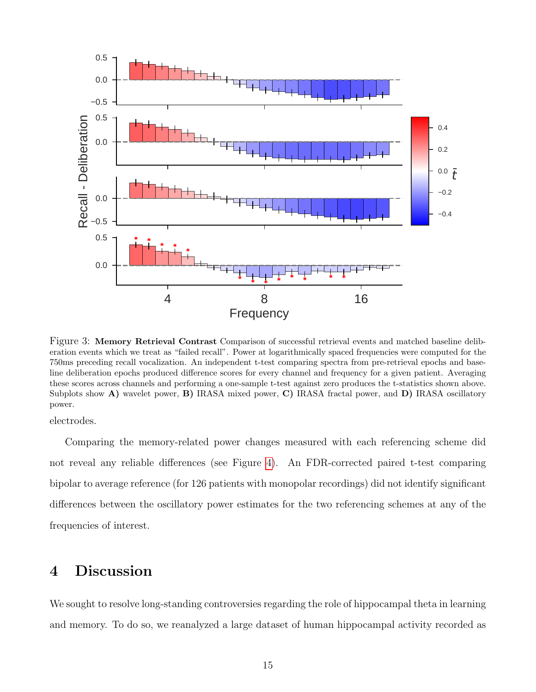

<span id="page-14-0"></span>Figure 3: Memory Retrieval Contrast Comparison of successful retrieval events and matched baseline deliberation events which we treat as "failed recall". Power at logarithmically spaced frequencies were computed for the 750ms preceding recall vocalization. An independent t-test comparing spectra from pre-retrieval epochs and baseline deliberation epochs produced difference scores for every channel and frequency for a given patient. Averaging these scores across channels and performing a one-sample t-test against zero produces the t-statistics shown above. Subplots show A) wavelet power, B) IRASA mixed power, C) IRASA fractal power, and D) IRASA oscillatory power.

electrodes.

Comparing the memory-related power changes measured with each referencing scheme did not reveal any reliable differences (see Figure [4\)](#page-15-0). An FDR-corrected paired t-test comparing bipolar to average reference (for 126 patients with monopolar recordings) did not identify significant differences between the oscillatory power estimates for the two referencing schemes at any of the frequencies of interest.

## 4 Discussion

We sought to resolve long-standing controversies regarding the role of hippocampal theta in learning and memory. To do so, we reanalyzed a large dataset of human hippocampal activity recorded as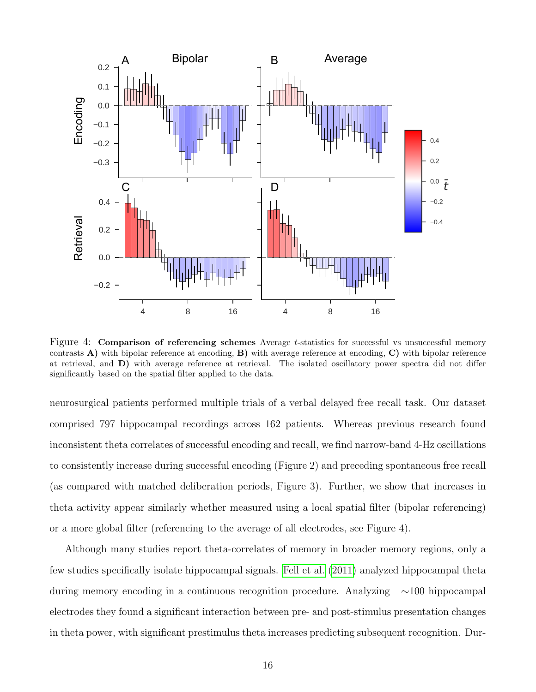

<span id="page-15-0"></span>Figure 4: **Comparison of referencing schemes** Average t-statistics for successful vs unsuccessful memory contrasts  $\bf{A}$ ) with bipolar reference at encoding,  $\bf{B}$ ) with average reference at encoding,  $\bf{C}$ ) with bipolar reference at retrieval, and D) with average reference at retrieval. The isolated oscillatory power spectra did not differ significantly based on the spatial filter applied to the data.

neurosurgical patients performed multiple trials of a verbal delayed free recall task. Our dataset comprised 797 hippocampal recordings across 162 patients. Whereas previous research found inconsistent theta correlates of successful encoding and recall, we find narrow-band 4-Hz oscillations to consistently increase during successful encoding (Figure 2) and preceding spontaneous free recall (as compared with matched deliberation periods, Figure 3). Further, we show that increases in theta activity appear similarly whether measured using a local spatial filter (bipolar referencing) or a more global filter (referencing to the average of all electrodes, see Figure 4).

Although many studies report theta-correlates of memory in broader memory regions, only a few studies specifically isolate hippocampal signals. [Fell et al.](#page-19-9) [\(2011\)](#page-19-9) analyzed hippocampal theta during memory encoding in a continuous recognition procedure. Analyzing ∼100 hippocampal electrodes they found a significant interaction between pre- and post-stimulus presentation changes in theta power, with significant prestimulus theta increases predicting subsequent recognition. Dur-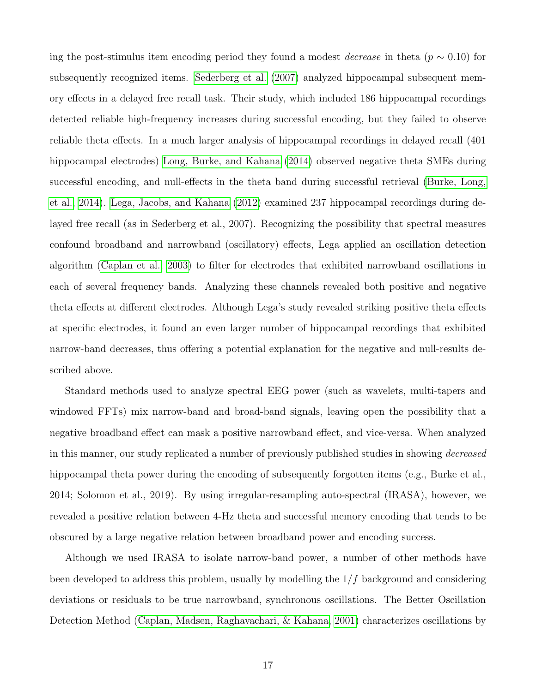ing the post-stimulus item encoding period they found a modest *decrease* in theta ( $p \sim 0.10$ ) for subsequently recognized items. [Sederberg et al.](#page-20-9) [\(2007\)](#page-20-9) analyzed hippocampal subsequent memory effects in a delayed free recall task. Their study, which included 186 hippocampal recordings detected reliable high-frequency increases during successful encoding, but they failed to observe reliable theta effects. In a much larger analysis of hippocampal recordings in delayed recall (401 hippocampal electrodes) [Long, Burke, and Kahana](#page-20-10) [\(2014\)](#page-20-10) observed negative theta SMEs during successful encoding, and null-effects in the theta band during successful retrieval [\(Burke, Long,](#page-18-6) [et al., 2014\)](#page-18-6). [Lega, Jacobs, and Kahana](#page-19-10) [\(2012\)](#page-19-10) examined 237 hippocampal recordings during delayed free recall (as in Sederberg et al., 2007). Recognizing the possibility that spectral measures confound broadband and narrowband (oscillatory) effects, Lega applied an oscillation detection algorithm [\(Caplan et al., 2003\)](#page-18-7) to filter for electrodes that exhibited narrowband oscillations in each of several frequency bands. Analyzing these channels revealed both positive and negative theta effects at different electrodes. Although Lega's study revealed striking positive theta effects at specific electrodes, it found an even larger number of hippocampal recordings that exhibited narrow-band decreases, thus offering a potential explanation for the negative and null-results described above.

Standard methods used to analyze spectral EEG power (such as wavelets, multi-tapers and windowed FFTs) mix narrow-band and broad-band signals, leaving open the possibility that a negative broadband effect can mask a positive narrowband effect, and vice-versa. When analyzed in this manner, our study replicated a number of previously published studies in showing decreased hippocampal theta power during the encoding of subsequently forgotten items (e.g., Burke et al., 2014; Solomon et al., 2019). By using irregular-resampling auto-spectral (IRASA), however, we revealed a positive relation between 4-Hz theta and successful memory encoding that tends to be obscured by a large negative relation between broadband power and encoding success.

Although we used IRASA to isolate narrow-band power, a number of other methods have been developed to address this problem, usually by modelling the  $1/f$  background and considering deviations or residuals to be true narrowband, synchronous oscillations. The Better Oscillation Detection Method [\(Caplan, Madsen, Raghavachari, & Kahana, 2001\)](#page-18-8) characterizes oscillations by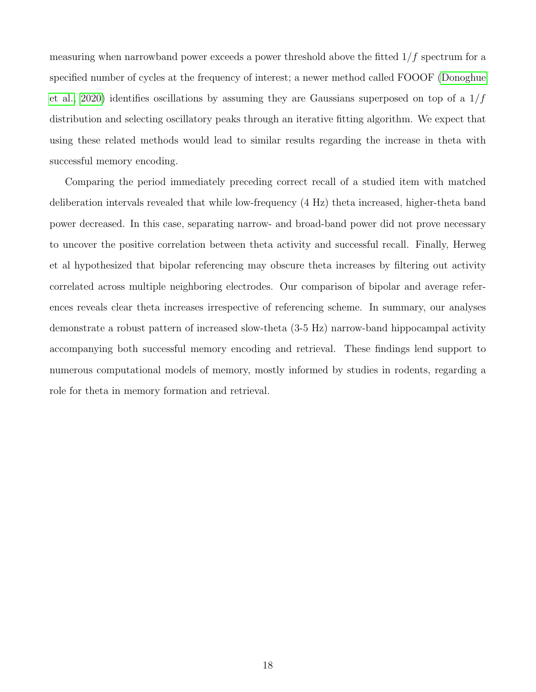measuring when narrowband power exceeds a power threshold above the fitted  $1/f$  spectrum for a specified number of cycles at the frequency of interest; a newer method called FOOOF [\(Donoghue](#page-18-9) [et al., 2020\)](#page-18-9) identifies oscillations by assuming they are Gaussians superposed on top of a  $1/f$ distribution and selecting oscillatory peaks through an iterative fitting algorithm. We expect that using these related methods would lead to similar results regarding the increase in theta with successful memory encoding.

Comparing the period immediately preceding correct recall of a studied item with matched deliberation intervals revealed that while low-frequency (4 Hz) theta increased, higher-theta band power decreased. In this case, separating narrow- and broad-band power did not prove necessary to uncover the positive correlation between theta activity and successful recall. Finally, Herweg et al hypothesized that bipolar referencing may obscure theta increases by filtering out activity correlated across multiple neighboring electrodes. Our comparison of bipolar and average references reveals clear theta increases irrespective of referencing scheme. In summary, our analyses demonstrate a robust pattern of increased slow-theta (3-5 Hz) narrow-band hippocampal activity accompanying both successful memory encoding and retrieval. These findings lend support to numerous computational models of memory, mostly informed by studies in rodents, regarding a role for theta in memory formation and retrieval.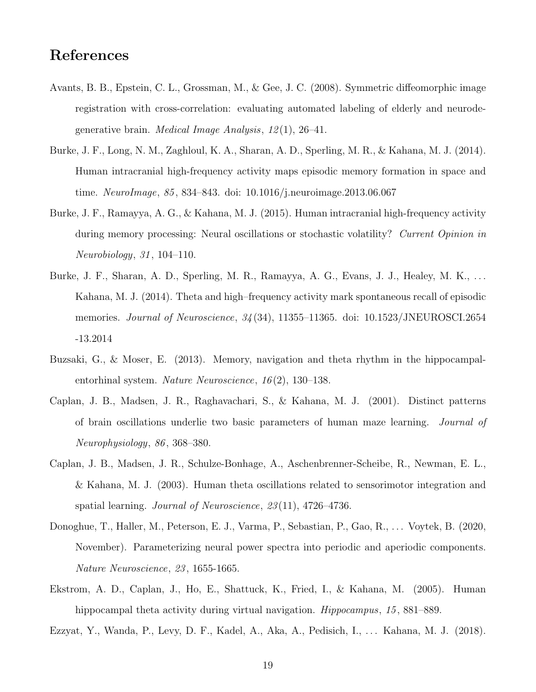# References

- <span id="page-18-5"></span>Avants, B. B., Epstein, C. L., Grossman, M., & Gee, J. C. (2008). Symmetric diffeomorphic image registration with cross-correlation: evaluating automated labeling of elderly and neurodegenerative brain. *Medical Image Analysis*,  $12(1)$ ,  $26-41$ .
- <span id="page-18-6"></span>Burke, J. F., Long, N. M., Zaghloul, K. A., Sharan, A. D., Sperling, M. R., & Kahana, M. J. (2014). Human intracranial high-frequency activity maps episodic memory formation in space and time. NeuroImage, 85 , 834–843. doi: 10.1016/j.neuroimage.2013.06.067
- <span id="page-18-3"></span>Burke, J. F., Ramayya, A. G., & Kahana, M. J. (2015). Human intracranial high-frequency activity during memory processing: Neural oscillations or stochastic volatility? Current Opinion in Neurobiology, 31 , 104–110.
- <span id="page-18-2"></span>Burke, J. F., Sharan, A. D., Sperling, M. R., Ramayya, A. G., Evans, J. J., Healey, M. K., . . . Kahana, M. J. (2014). Theta and high–frequency activity mark spontaneous recall of episodic memories. Journal of Neuroscience,  $34(34)$ , 11355–11365. doi: 10.1523/JNEUROSCI.2654 -13.2014
- <span id="page-18-0"></span>Buzsaki, G., & Moser, E. (2013). Memory, navigation and theta rhythm in the hippocampalentorhinal system. Nature Neuroscience, 16 (2), 130–138.
- <span id="page-18-8"></span>Caplan, J. B., Madsen, J. R., Raghavachari, S., & Kahana, M. J. (2001). Distinct patterns of brain oscillations underlie two basic parameters of human maze learning. Journal of Neurophysiology, 86 , 368–380.
- <span id="page-18-7"></span>Caplan, J. B., Madsen, J. R., Schulze-Bonhage, A., Aschenbrenner-Scheibe, R., Newman, E. L., & Kahana, M. J. (2003). Human theta oscillations related to sensorimotor integration and spatial learning. *Journal of Neuroscience*, 23(11), 4726–4736.
- <span id="page-18-9"></span>Donoghue, T., Haller, M., Peterson, E. J., Varma, P., Sebastian, P., Gao, R., . . . Voytek, B. (2020, November). Parameterizing neural power spectra into periodic and aperiodic components. Nature Neuroscience, 23 , 1655-1665.
- <span id="page-18-1"></span>Ekstrom, A. D., Caplan, J., Ho, E., Shattuck, K., Fried, I., & Kahana, M. (2005). Human hippocampal theta activity during virtual navigation. *Hippocampus*, 15, 881–889.

<span id="page-18-4"></span>Ezzyat, Y., Wanda, P., Levy, D. F., Kadel, A., Aka, A., Pedisich, I., . . . Kahana, M. J. (2018).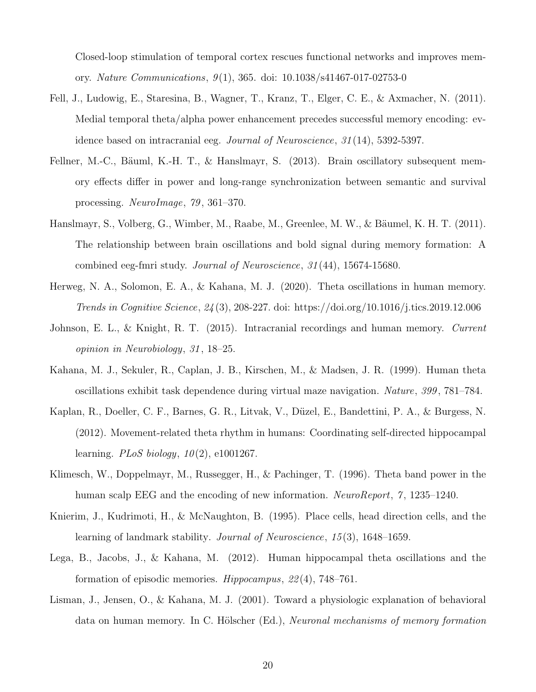Closed-loop stimulation of temporal cortex rescues functional networks and improves memory. Nature Communications, 9 (1), 365. doi: 10.1038/s41467-017-02753-0

- <span id="page-19-9"></span>Fell, J., Ludowig, E., Staresina, B., Wagner, T., Kranz, T., Elger, C. E., & Axmacher, N. (2011). Medial temporal theta/alpha power enhancement precedes successful memory encoding: evidence based on intracranial eeg. Journal of Neuroscience, 31 (14), 5392-5397.
- <span id="page-19-7"></span>Fellner, M.-C., Bäuml, K.-H. T., & Hanslmayr, S.  $(2013)$ . Brain oscillatory subsequent memory effects differ in power and long-range synchronization between semantic and survival processing. NeuroImage, 79 , 361–370.
- <span id="page-19-6"></span>Hanslmayr, S., Volberg, G., Wimber, M., Raabe, M., Greenlee, M. W., & Bäumel, K. H. T. (2011). The relationship between brain oscillations and bold signal during memory formation: A combined eeg-fmri study. Journal of Neuroscience, 31 (44), 15674-15680.
- <span id="page-19-4"></span>Herweg, N. A., Solomon, E. A., & Kahana, M. J. (2020). Theta oscillations in human memory. Trends in Cognitive Science, 24 (3), 208-227. doi: https://doi.org/10.1016/j.tics.2019.12.006
- <span id="page-19-3"></span>Johnson, E. L., & Knight, R. T. (2015). Intracranial recordings and human memory. Current opinion in Neurobiology, 31 , 18–25.
- <span id="page-19-2"></span>Kahana, M. J., Sekuler, R., Caplan, J. B., Kirschen, M., & Madsen, J. R. (1999). Human theta oscillations exhibit task dependence during virtual maze navigation. Nature, 399 , 781–784.
- <span id="page-19-8"></span>Kaplan, R., Doeller, C. F., Barnes, G. R., Litvak, V., Düzel, E., Bandettini, P. A., & Burgess, N. (2012). Movement-related theta rhythm in humans: Coordinating self-directed hippocampal learning. *PLoS biology*,  $10(2)$ , e1001267.
- <span id="page-19-5"></span>Klimesch, W., Doppelmayr, M., Russegger, H., & Pachinger, T. (1996). Theta band power in the human scalp EEG and the encoding of new information. NeuroReport, 7, 1235–1240.
- <span id="page-19-0"></span>Knierim, J., Kudrimoti, H., & McNaughton, B. (1995). Place cells, head direction cells, and the learning of landmark stability. *Journal of Neuroscience*, 15(3), 1648–1659.
- <span id="page-19-10"></span>Lega, B., Jacobs, J., & Kahana, M. (2012). Human hippocampal theta oscillations and the formation of episodic memories. Hippocampus, 22 (4), 748–761.
- <span id="page-19-1"></span>Lisman, J., Jensen, O., & Kahana, M. J. (2001). Toward a physiologic explanation of behavioral data on human memory. In C. Hölscher (Ed.), *Neuronal mechanisms of memory formation*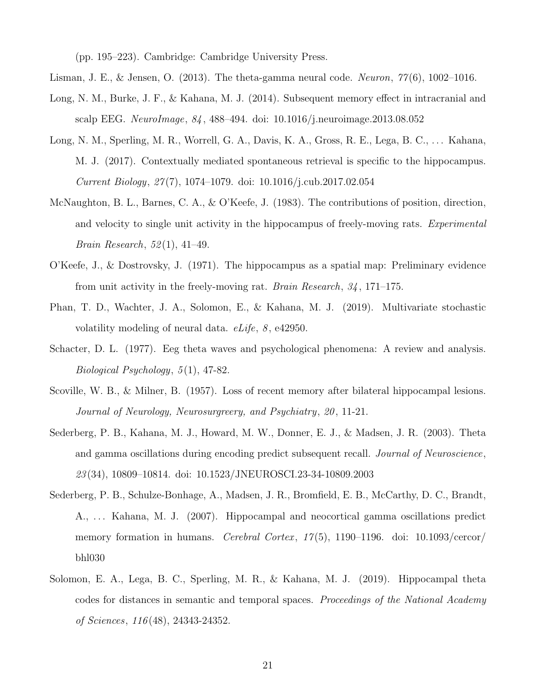(pp. 195–223). Cambridge: Cambridge University Press.

- <span id="page-20-10"></span><span id="page-20-0"></span>Lisman, J. E., & Jensen, O. (2013). The theta-gamma neural code. Neuron,  $77(6)$ , 1002–1016.
- Long, N. M., Burke, J. F., & Kahana, M. J. (2014). Subsequent memory effect in intracranial and scalp EEG. NeuroImage, 84 , 488–494. doi: 10.1016/j.neuroimage.2013.08.052
- <span id="page-20-6"></span>Long, N. M., Sperling, M. R., Worrell, G. A., Davis, K. A., Gross, R. E., Lega, B. C., . . . Kahana, M. J. (2017). Contextually mediated spontaneous retrieval is specific to the hippocampus. Current Biology, 27 (7), 1074–1079. doi: 10.1016/j.cub.2017.02.054
- <span id="page-20-3"></span>McNaughton, B. L., Barnes, C. A., & O'Keefe, J. (1983). The contributions of position, direction, and velocity to single unit activity in the hippocampus of freely-moving rats. Experimental *Brain Research*,  $52(1)$ ,  $41-49$ .
- <span id="page-20-2"></span>O'Keefe, J., & Dostrovsky, J. (1971). The hippocampus as a spatial map: Preliminary evidence from unit activity in the freely-moving rat. *Brain Research*,  $34$ , 171–175.
- <span id="page-20-8"></span>Phan, T. D., Wachter, J. A., Solomon, E., & Kahana, M. J. (2019). Multivariate stochastic volatility modeling of neural data. *eLife*, 8, e42950.
- <span id="page-20-4"></span>Schacter, D. L. (1977). Eeg theta waves and psychological phenomena: A review and analysis. Biological Psychology,  $5(1)$ , 47-82.
- <span id="page-20-1"></span>Scoville, W. B., & Milner, B. (1957). Loss of recent memory after bilateral hippocampal lesions. Journal of Neurology, Neurosurgreery, and Psychiatry, 20 , 11-21.
- <span id="page-20-5"></span>Sederberg, P. B., Kahana, M. J., Howard, M. W., Donner, E. J., & Madsen, J. R. (2003). Theta and gamma oscillations during encoding predict subsequent recall. Journal of Neuroscience, 23 (34), 10809–10814. doi: 10.1523/JNEUROSCI.23-34-10809.2003
- <span id="page-20-9"></span>Sederberg, P. B., Schulze-Bonhage, A., Madsen, J. R., Bromfield, E. B., McCarthy, D. C., Brandt, A., . . . Kahana, M. J. (2007). Hippocampal and neocortical gamma oscillations predict memory formation in humans. Cerebral Cortex,  $17(5)$ , 1190–1196. doi: 10.1093/cercor/ bhl030
- <span id="page-20-7"></span>Solomon, E. A., Lega, B. C., Sperling, M. R., & Kahana, M. J. (2019). Hippocampal theta codes for distances in semantic and temporal spaces. Proceedings of the National Academy of Sciences, 116 (48), 24343-24352.